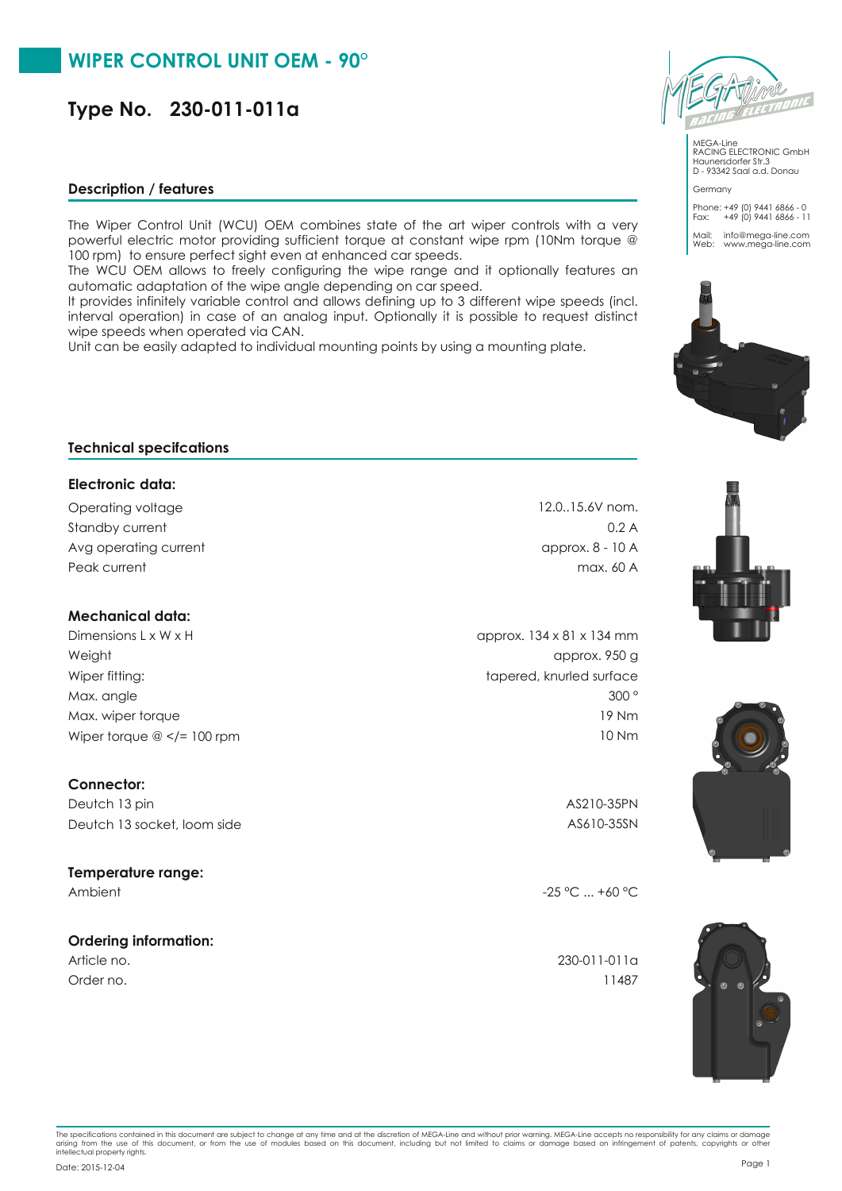# **Type No. 230-011-011a**

### **Description / features**

The Wiper Control Unit (WCU) OEM combines state of the art wiper controls with a very powerful electric motor providing sufficient torque at constant wipe rpm (10Nm torque @ 100 rpm) to ensure perfect sight even at enhanced car speeds.

The WCU OEM allows to freely configuring the wipe range and it optionally features an automatic adaptation of the wipe angle depending on car speed.

It provides infinitely variable control and allows defining up to 3 different wipe speeds (incl. interval operation) in case of an analog input. Optionally it is possible to request distinct wipe speeds when operated via CAN.

Unit can be easily adapted to individual mounting points by using a mounting plate.



MEGA-Line RACING ELECTRONIC GmbH Haunersdorfer Str.3 D - 93342 Saal a.d. Donau

Germany Phone: +49 (0) 9441 6866 - 0 Fax: +49 (0) 9441 6866 - 11 Mail: info@mega-line.com Web: www.mega-line.com



## **Technical specifcations**

#### **Electronic data:**

Standby current Operating voltage 12.0..15.6V nom. Peak current max. 60 A Avg operating current approx. 8 - 10 A

## **Mechanical data:**

Dimensions L x W x H  $\alpha$  B approx. 134 x 81 x 134 mm Weight approx. 950 g Wiper fitting: tapered, knurled surface Max. angle 300 ° Max. wiper torque 19 Nm Wiper torque @ </= 100 rpm 10 Nm

## **Connector:**

Deutch 13 pin AS210-35PN Deutch 13 socket, loom side AS610-35SN

### **Temperature range:**

### **Ordering information:**

Order no. 11487

0.2 A



Ambient  $-25 \,^{\circ}\text{C}$  ... +60  $^{\circ}\text{C}$ 

Article no. 230-011-011a



The specifications contained in this document are subject to change at any time and at the discretion of MEGA-Line and without prior warning. MEGA-Line accepts no responsibility for any claims or damage<br>arising from the us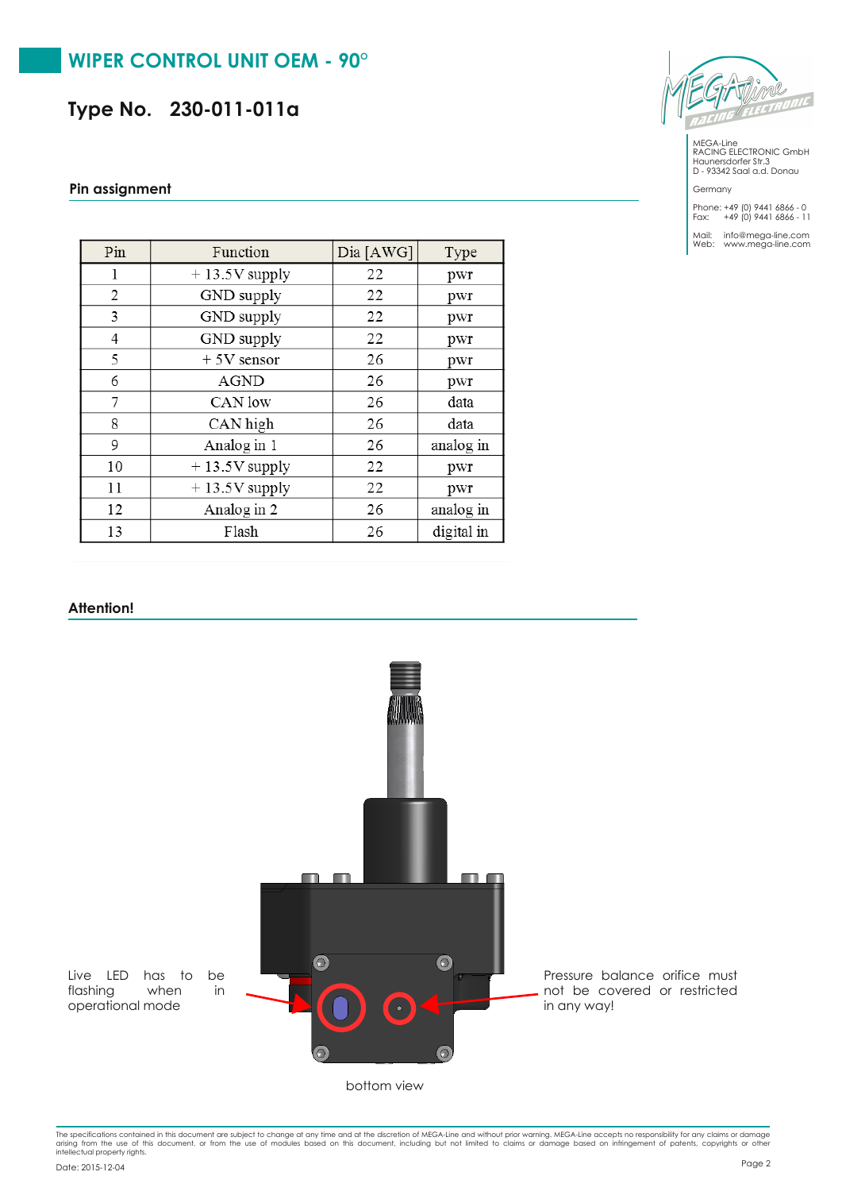## **WIPER CONTROL UNIT OEM - 90°**

**Type No. 230-011-011a**

#### **Pin assignment**

| Pin | Function        | Dia [AWG] | Type       |
|-----|-----------------|-----------|------------|
| 1   | $+13.5V$ supply | 22        | pwr        |
| 2   | GND supply      | 22        | pwr        |
| 3   | GND supply      | 22        | pwr        |
| 4   | GND supply      | 22        | pwr        |
| 5   | $+5V$ sensor    | 26        | pwr        |
| 6   | <b>AGND</b>     | 26        | pwr        |
| 7   | CAN low         | 26        | data       |
| 8   | CAN high        | 26        | data       |
| 9   | Analog in 1     | 26        | analog in  |
| 10  | $+13.5V$ supply | 22        | pwr        |
| 11  | $+13.5V$ supply | 22        | pwr        |
| 12  | Analog in 2     | 26        | analog in  |
| 13  | Flash           | 26        | digital in |



MEGA-Line RACING ELECTRONIC GmbH Haunersdorfer Str.3 D - 93342 Saal a.d. Donau

Germany Phone: +49 (0) 9441 6866 - 0 Fax: +49 (0) 9441 6866 - 11

Mail: info@mega-line.com Web: www.mega-line.com

#### **Attention!**



The specifications contained in this document are subject to change at any time and at the discretion of MEGA-Line and without prior warning. MEGA-Line accepts no responsibility for any claims or damage<br>arising from the us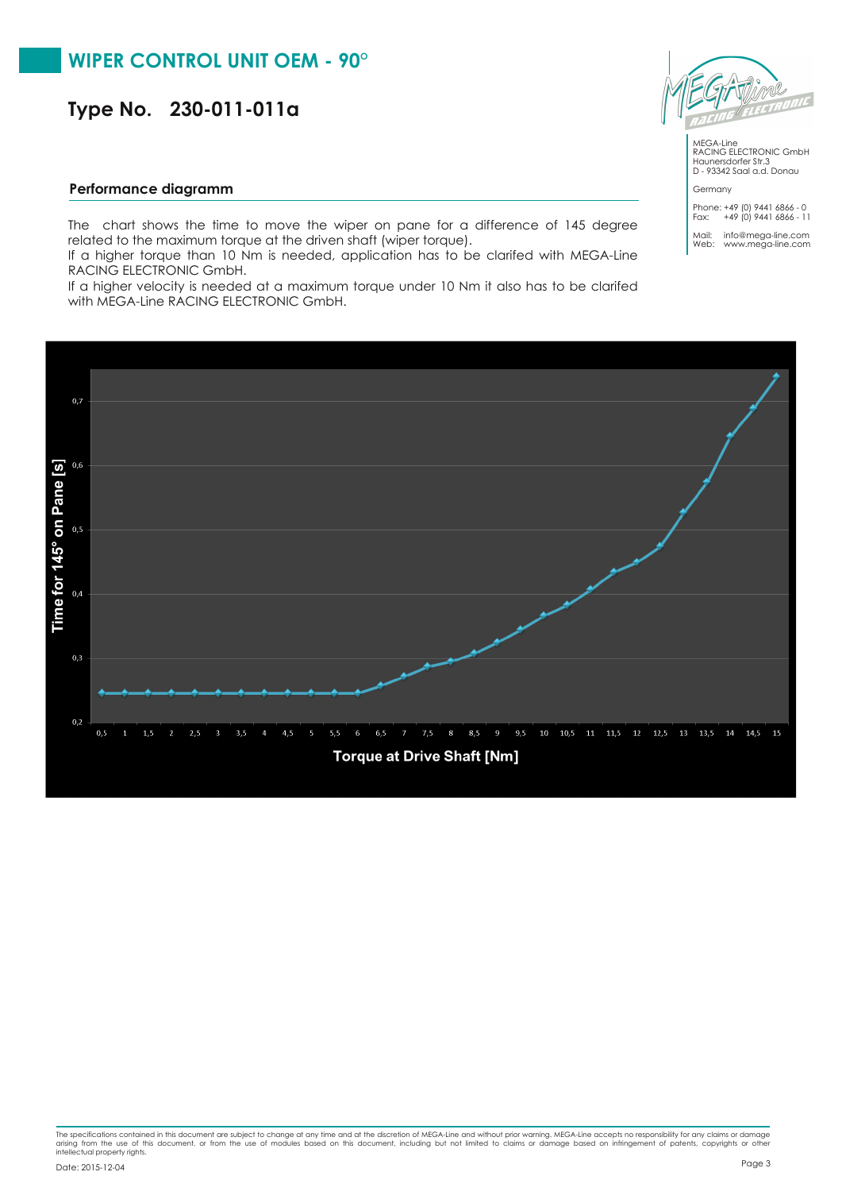# **WIPER CONTROL UNIT OEM - 90°**

**Type No. 230-011-011a**

#### **Performance diagramm**

The chart shows the time to move the wiper on pane for a difference of 145 degree related to the maximum torque at the driven shaft (wiper torque).

If a higher torque than 10 Nm is needed, application has to be clarifed with MEGA-Line RACING ELECTRONIC GmbH.

If a higher velocity is needed at a maximum torque under 10 Nm it also has to be clarifed with MEGA-Line RACING ELECTRONIC GmbH.







MEGA-Line RACING ELECTRONIC GmbH Haunersdorfer Str.3 D - 93342 Saal a.d. Donau Germany

Phone: +49 (0) 9441 6866 - 0 Fax: +49 (0) 9441 6866 - 11

Mail: info@mega-line.com Web: www.mega-line.com

The specifications contained in this document are subject to change at any time and at the discretion of MEGA-Line and without prior warning. MEGA-Line accepts no responsibility for any claims or damage<br>arising from the us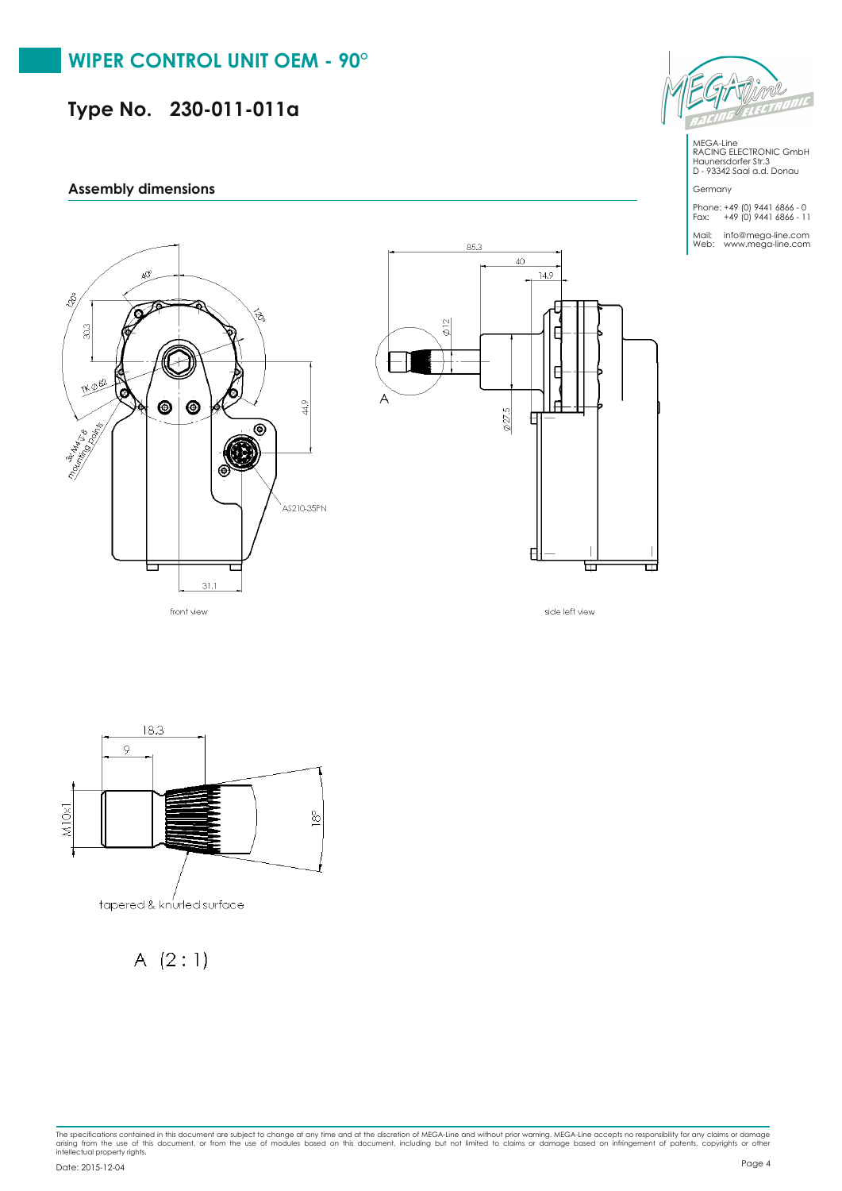# **Type No. 230-011-011a**

### **Assembly dimensions**





side left view



A  $(2:1)$ 



MEGA-Line RACING ELECTRONIC GmbH Haunersdorfer Str.3 D - 93342 Saal a.d. Donau

Germany Phone: +49 (0) 9441 6866 - 0 Fax: +49 (0) 9441 6866 - 11

Mail: info@mega-line.com Web: www.mega-line.com

The specifications contained in this document are subject to change at any time and at the discretion of MEGA-Line and without prior warning. MEGA-Line accepts no responsibility for any claims or damage<br>arising from the us Page <sup>4</sup> Date: 2015-12-04